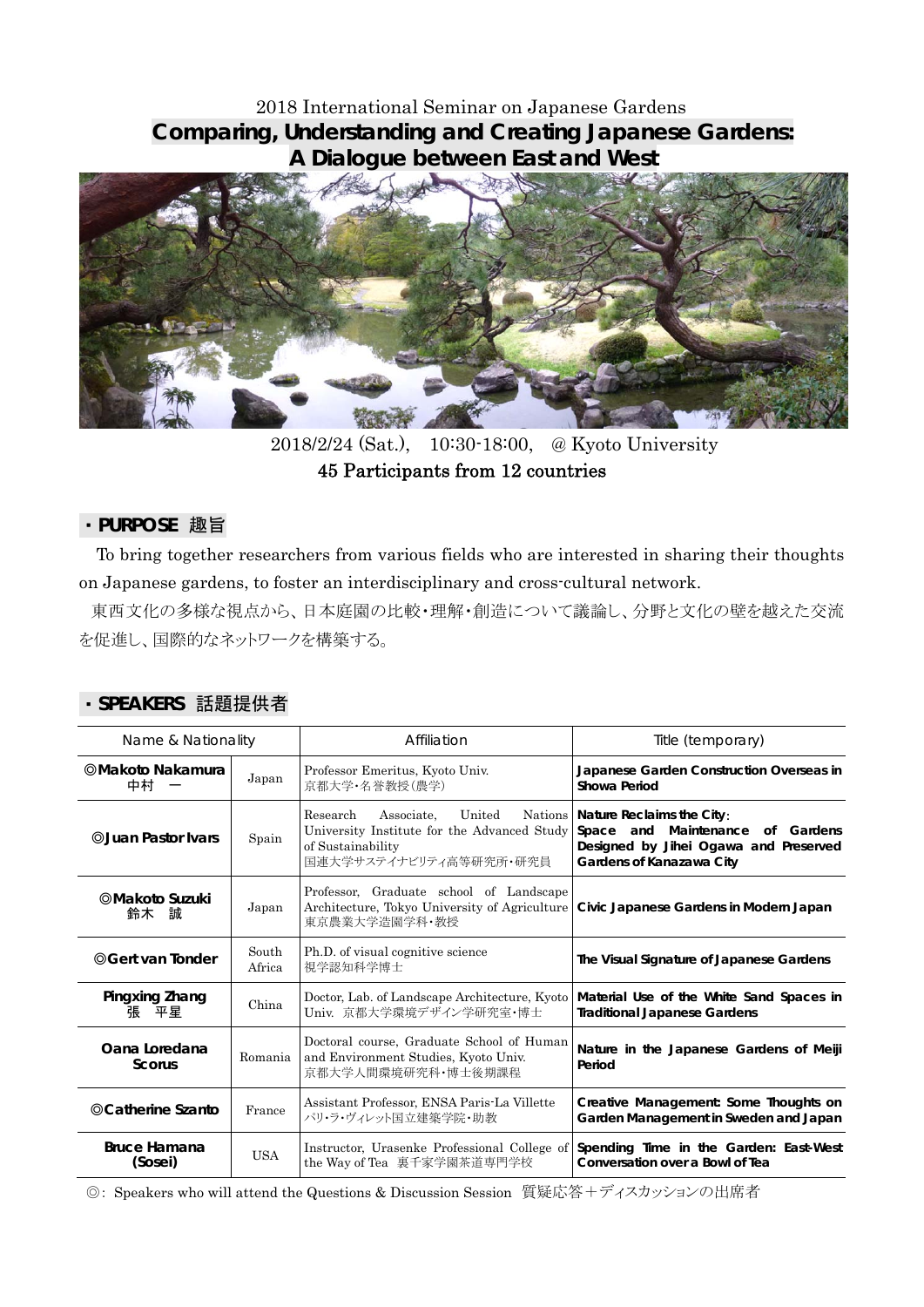# 2018 International Seminar on Japanese Gardens **Comparing, Understanding and Creating Japanese Gardens: A Dialogue between East and West**



2018/2/24 (Sat.), 10:30-18:00, @ Kyoto University 45 Participants from 12 countries

### ・**PURPOSE** 趣旨

To bring together researchers from various fields who are interested in sharing their thoughts on Japanese gardens, to foster an interdisciplinary and cross-cultural network.

 東西文化の多様な視点から、日本庭園の比較・理解・創造について議論し、分野と文化の壁を越えた交流 を促進し、国際的なネットワークを構築する。

| Name & Nationality             |                 | Affiliation                                                                                                                                        | Title (temporary)                                                                                                                                     |
|--------------------------------|-----------------|----------------------------------------------------------------------------------------------------------------------------------------------------|-------------------------------------------------------------------------------------------------------------------------------------------------------|
| ©Makoto Nakamura<br>中村         | Japan           | Professor Emeritus, Kyoto Univ.<br>京都大学·名誉教授(農学)                                                                                                   | Japanese Garden Construction Overseas in<br>Showa Period                                                                                              |
| <b>@Juan Pastor Ivars</b>      | Spain           | Associate, United<br>Research<br>University Institute for the Advanced Study<br>of Sustainability<br>国連大学サステイナビリティ高等研究所・研究員                        | Nations   Nature Reclaims the City:<br>Maintenance<br>Space<br>and<br>of Gardens<br>Designed by Jihei Ogawa and Preserved<br>Gardens of Kanazawa City |
| ©Makoto Suzuki<br>鈴木<br>試      | Japan           | Professor, Graduate school of Landscape<br>Architecture, Tokyo University of Agriculture   Civic Japanese Gardens in Modern Japan<br>東京農業大学造園学科・教授 |                                                                                                                                                       |
| ©Gert van Tonder               | South<br>Africa | Ph.D. of visual cognitive science<br>視学認知科学博士                                                                                                      | The Visual Signature of Japanese Gardens                                                                                                              |
| Pingxing Zhang<br>張<br>平星      | China           | Doctor, Lab. of Landscape Architecture, Kyoto<br>Univ. 京都大学環境デザイン学研究室・博士                                                                           | Material Use of the White Sand Spaces in<br><b>Traditional Japanese Gardens</b>                                                                       |
| Oana Loredana<br>Scorus        | Romania         | Doctoral course, Graduate School of Human<br>and Environment Studies, Kyoto Univ.<br>京都大学人間環境研究科·博士後期課程                                            | Nature in the Japanese Gardens of Meiji<br>Period                                                                                                     |
| ©Catherine Szanto              | France          | Assistant Professor, ENSA Paris-La Villette<br>パリ・ラ・ヴィレット国立建築学院・助教                                                                                 | Creative Management: Some Thoughts on<br>Garden Management in Sweden and Japan                                                                        |
| <b>Bruce Hamana</b><br>(Sosei) | <b>USA</b>      | Instructor, Urasenke Professional College of<br>the Way of Tea 裏千家学園茶道専門学校                                                                         | Spending Time in the Garden: East-West<br>Conversation over a Bowl of Tea                                                                             |

#### ・**SPEAKERS** 話題提供者

◎: Speakers who will attend the Questions & Discussion Session 質疑応答+ディスカッションの出席者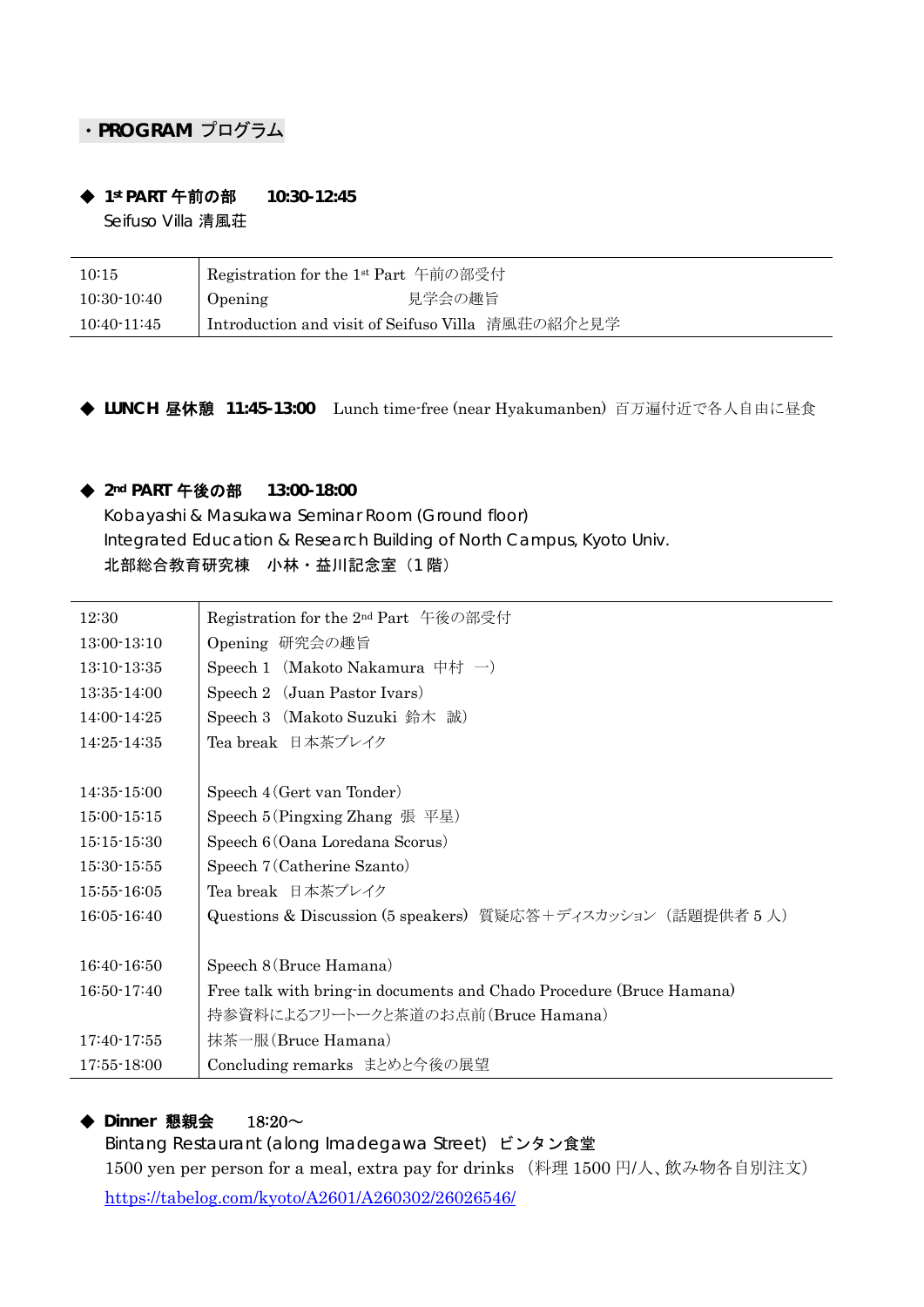# ・**PROGRAM** プログラム

#### ◆ 1st PART 午前の部 10:30-12:45 Seifuso Villa 清風荘

| 10:15       | Registration for the 1 <sup>st</sup> Part 午前の部受付  |
|-------------|---------------------------------------------------|
| 10:30-10:40 | 見学会の趣旨<br><b>Opening</b>                          |
| 10:40-11:45 | Introduction and visit of Seifuso Villa 清風荘の紹介と見学 |

◆ LUNCH 昼休憩 11:45-13:00 Lunch time-free (near Hyakumanben) 百万遍付近で各人自由に昼食

### ◆ **2nd PART** 午後の部 **13:00-18:00**

Kobayashi & Masukawa Seminar Room (Ground floor) Integrated Education & Research Building of North Campus, Kyoto Univ. 北部総合教育研究棟 小林·益川記念室(1階)

| 12:30         | Registration for the 2 <sup>nd</sup> Part 午後の部受付                     |  |  |  |
|---------------|----------------------------------------------------------------------|--|--|--|
| $13:00-13:10$ | Opening 研究会の趣旨                                                       |  |  |  |
| 13:10-13:35   | Speech 1 (Makoto Nakamura 中村 一)                                      |  |  |  |
| 13:35-14:00   | Speech 2 (Juan Pastor Ivars)                                         |  |  |  |
| 14:00-14:25   | Speech 3 (Makoto Suzuki 鈴木 誠)                                        |  |  |  |
| 14:25-14:35   | Tea break 日本茶ブレイク                                                    |  |  |  |
|               |                                                                      |  |  |  |
| 14:35-15:00   | Speech 4 (Gert van Tonder)                                           |  |  |  |
| $15:00-15:15$ | Speech 5 (Pingxing Zhang 張 平星)                                       |  |  |  |
| $15:15-15:30$ | Speech 6 (Oana Loredana Scorus)                                      |  |  |  |
| $15:30-15:55$ | Speech 7 (Catherine Szanto)                                          |  |  |  |
| 15:55-16:05   | Tea break 日本茶ブレイク                                                    |  |  |  |
| 16:05-16:40   | Questions & Discussion (5 speakers) 質疑応答+ディスカッション (話題提供者 5 人)        |  |  |  |
|               |                                                                      |  |  |  |
| $16:40-16:50$ | Speech 8 (Bruce Hamana)                                              |  |  |  |
| 16:50-17:40   | Free talk with bring-in documents and Chado Procedure (Bruce Hamana) |  |  |  |
|               | 持参資料によるフリートークと茶道のお点前(Bruce Hamana)                                   |  |  |  |
| 17:40-17:55   | 抹茶一服(Bruce Hamana)                                                   |  |  |  |
| 17:55-18:00   | Concluding remarks まとめと今後の展望                                         |  |  |  |

#### ◆ Dinner 懇親会 18:20 $\sim$

Bintang Restaurant (along Imadegawa Street) ビンタン食堂 1500 yen per person for a meal, extra pay for drinks (料理 1500 円/人、飲み物各自別注文) https://tabelog.com/kyoto/A2601/A260302/26026546/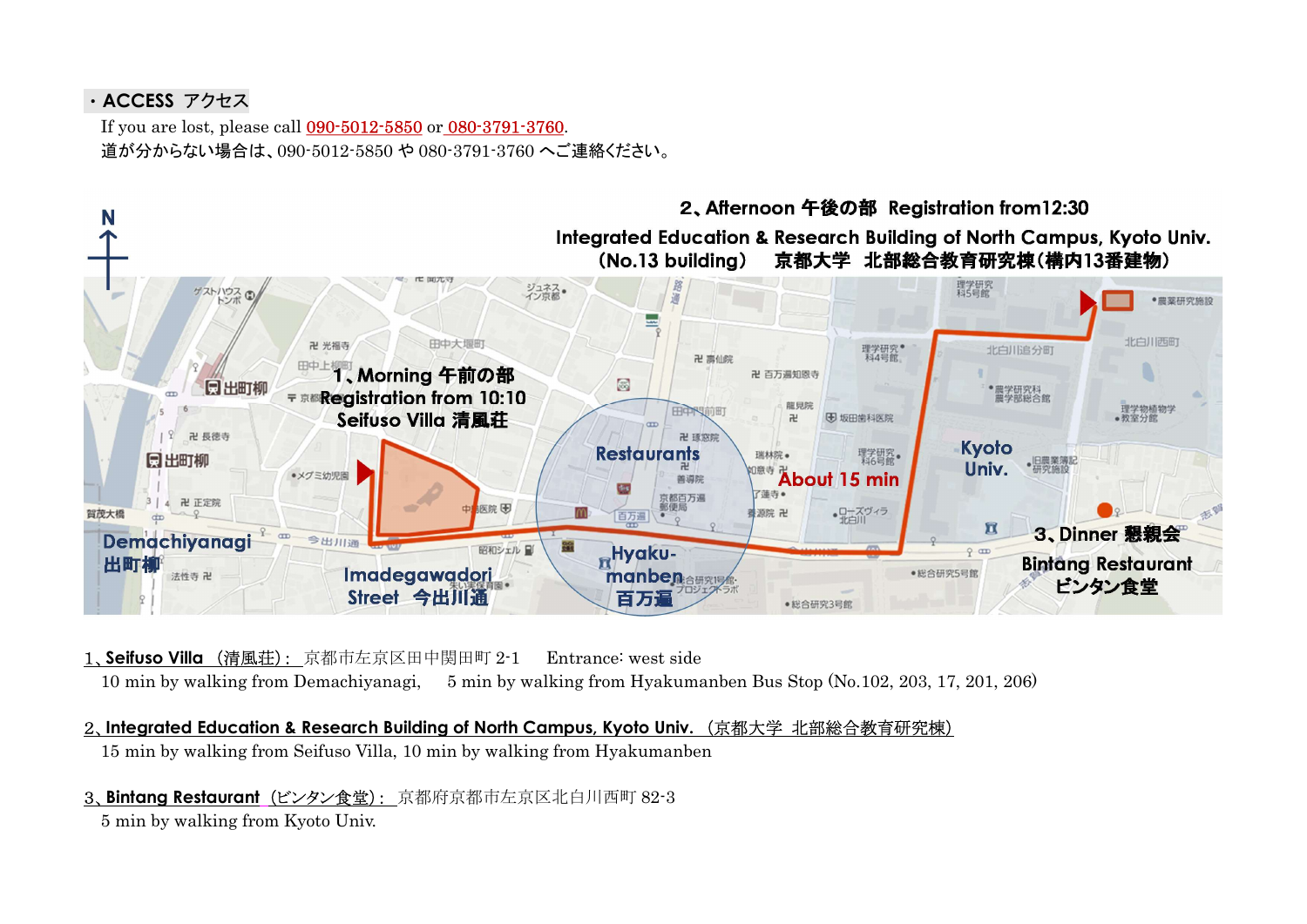# ・ACCESS アクセス

If you are lost, please call 090-5012-5850 or 080-3791-3760. 道が分からない場合は、090-5012-5850 や 080-3791-3760 へご連絡ください。



- 1、Seifuso Villa (清風荘): 京都市左京区田中関田町 2-1 Entrance: west side 10 min by walking from Demachiyanagi, 5 min by walking from Hyakumanben Bus Stop (No.102, 203, 17, 201, 206)
- 2、Integrated Education & Research Building of North Campus, Kyoto Univ. (京都大学 北部総合教育研究棟) 15 min by walking from Seifuso Villa, 10 min by walking from Hyakumanben
- 3、Bintang Restaurant (ビンタン食堂): 京都府京都市左京区北白川西町 82-3

5 min by walking from Kyoto Univ.